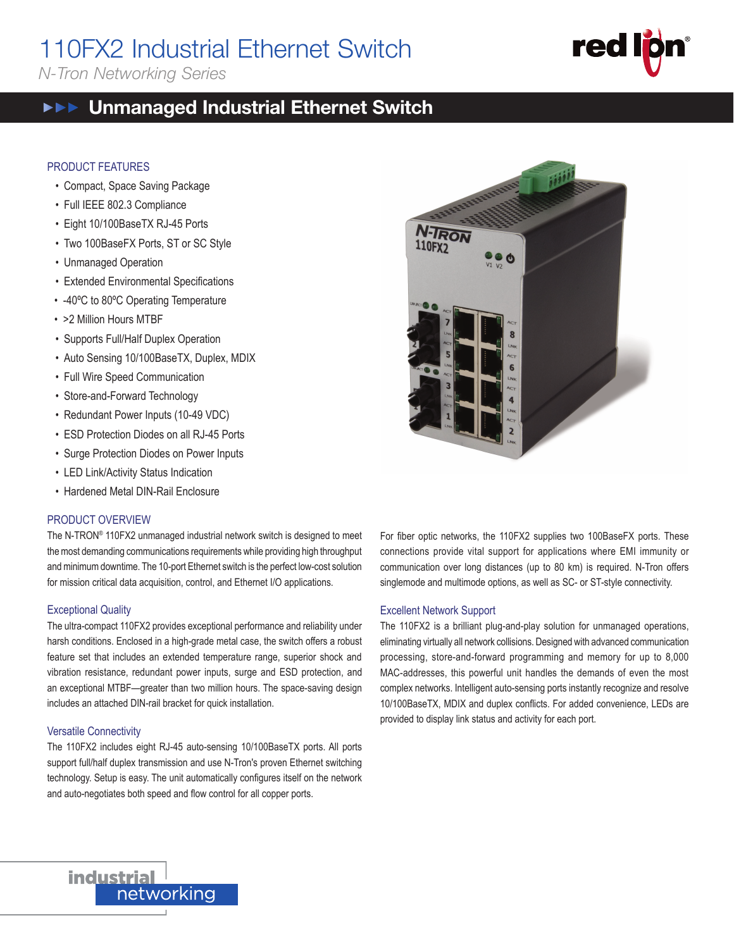# 110FX2 Industrial Ethernet Switch

*N-Tron Networking Series*

#### Unmanaged Industrial Ethernet Switch  $\blacktriangleright\blacktriangleright\blacktriangleright\blacktriangleright$

## PRODUCT FEATURES

- Compact, Space Saving Package
- Full IEEE 802.3 Compliance
- Eight 10/100BaseTX RJ-45 Ports
- Two 100BaseFX Ports, ST or SC Style
- Unmanaged Operation
- Extended Environmental Specifications
- -40ºC to 80ºC Operating Temperature
- >2 Million Hours MTBF
- Supports Full/Half Duplex Operation
- Auto Sensing 10/100BaseTX, Duplex, MDIX
- Full Wire Speed Communication
- Store-and-Forward Technology
- Redundant Power Inputs (10-49 VDC)
- ESD Protection Diodes on all RJ-45 Ports
- Surge Protection Diodes on Power Inputs
- LED Link/Activity Status Indication
- Hardened Metal DIN-Rail Enclosure

#### PRODUCT OVERVIEW

The N-TRON® 110FX2 unmanaged industrial network switch is designed to meet the most demanding communications requirements while providing high throughput and minimum downtime. The 10-port Ethernet switch is the perfect low-cost solution for mission critical data acquisition, control, and Ethernet I/O applications.

#### Exceptional Quality

The ultra-compact 110FX2 provides exceptional performance and reliability under harsh conditions. Enclosed in a high-grade metal case, the switch offers a robust feature set that includes an extended temperature range, superior shock and vibration resistance, redundant power inputs, surge and ESD protection, and an exceptional MTBF—greater than two million hours. The space-saving design includes an attached DIN-rail bracket for quick installation.

#### Versatile Connectivity

The 110FX2 includes eight RJ-45 auto-sensing 10/100BaseTX ports. All ports support full/half duplex transmission and use N-Tron's proven Ethernet switching technology. Setup is easy. The unit automatically configures itself on the network and auto-negotiates both speed and flow control for all copper ports.



For fiber optic networks, the 110FX2 supplies two 100BaseFX ports. These connections provide vital support for applications where EMI immunity or communication over long distances (up to 80 km) is required. N-Tron offers singlemode and multimode options, as well as SC- or ST-style connectivity.

## Excellent Network Support

The 110FX2 is a brilliant plug-and-play solution for unmanaged operations, eliminating virtually all network collisions. Designed with advanced communication processing, store-and-forward programming and memory for up to 8,000 MAC-addresses, this powerful unit handles the demands of even the most complex networks. Intelligent auto-sensing ports instantly recognize and resolve 10/100BaseTX, MDIX and duplex conflicts. For added convenience, LEDs are provided to display link status and activity for each port.





110FX2<br>110FX2 110FX2 110FX2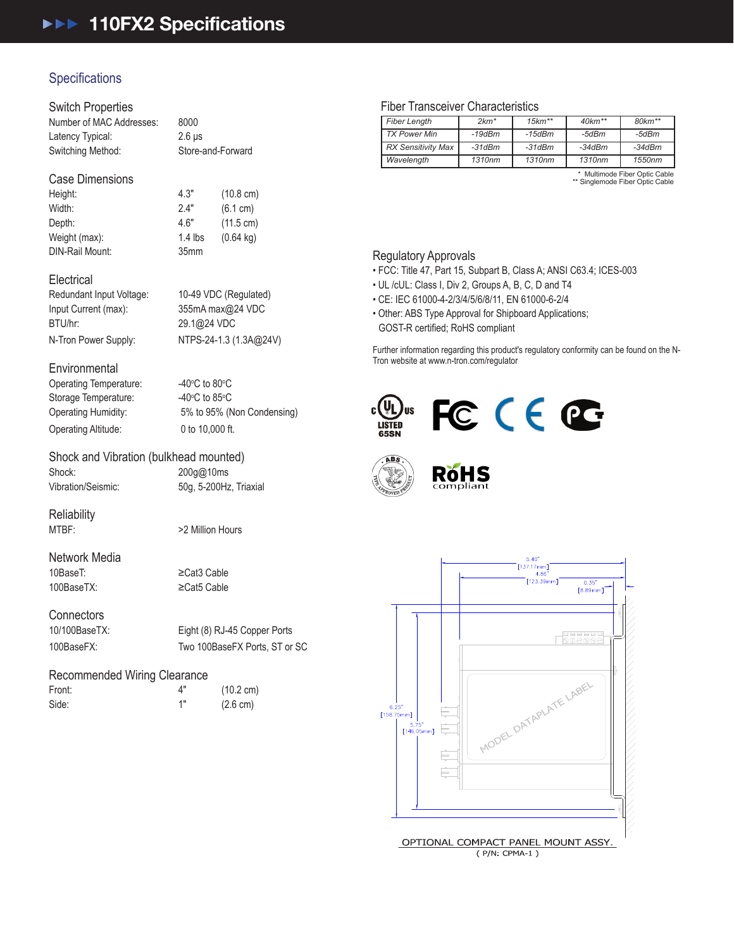# **Specifications**

#### Switch Properties

| Number of MAC Addresses: | 8000              |
|--------------------------|-------------------|
| Latency Typical:         | $2.6$ us          |
| Switching Method:        | Store-and-Forward |

## Case Dimensions

Width: 2.4" (6.1 cm) Depth: 4.6" (11.5 cm) Weight (max): 1.4 lbs (0.64 kg) DIN-Rail Mount: 35mm

Height: 4.3" (10.8 cm)

#### **Electrical**

Redundant Input Voltage: 10-49 VDC (Regulated) Input Current (max): 355mA max@24 VDC BTU/hr: 29.1@24 VDC

N-Tron Power Supply: NTPS-24-1.3 (1.3A@24V)

### **Environmental**

Operating Temperature: Storage Temperature: Operating Altitude: 0 to 10,000 ft.

C to  $80^{\circ}$ C C to  $85^{\circ}$ C Operating Humidity: 5% to 95% (Non Condensing)

## Shock and Vibration (bulkhead mounted)

Shock: 200g@10ms Vibration/Seismic: 50g, 5-200Hz, Triaxial

**Reliability** 

MTBF:  $>2$  Million Hours

Network Media 10BaseT: ≥Cat3 Cable 100BaseTX: ≥Cat5 Cable

**Connectors** 

10/100BaseTX: Eight (8) RJ-45 Copper Ports 100BaseFX: Two 100BaseFX Ports, ST or SC

## Recommended Wiring Clearance

Front: 4" (10.2 cm) Side: 1" (2.6 cm)

## Fiber Transceiver Characteristics

| <b>Fiber Length</b>       | $2km*$   | $15km**$     | $40$ km <sup>**</sup> | $80 km**$ |
|---------------------------|----------|--------------|-----------------------|-----------|
| <b>TX Power Min</b>       | $-19dBm$ | $-15$ d $Bm$ | -5dBm                 | -5dBm     |
| <b>RX Sensitivity Max</b> | $-31dBm$ | $-31dBm$     | $-34dBm$              | $-34dBm$  |
| Wavelength                | 1310nm   | 1310nm       | 1310nm                | 1550nm    |
|                           |          |              |                       |           |

\* Multimode Fiber Optic Cable \*\* Singlemode Fiber Optic Cable

110FX2

### Regulatory Approvals

• FCC: Title 47, Part 15, Subpart B, Class A; ANSI C63.4; ICES-003

- UL /cUL: Class I, Div 2, Groups A, B, C, D and T4
- CE: IEC 61000-4-2/3/4/5/6/8/11, EN 61000-6-2/4
- Other: ABS Type Approval for Shipboard Applications; GOST-R certified; RoHS compliant

Further information regarding this product's regulatory conformity can be found on the N-Tron website at www.n-tron.com/regulator